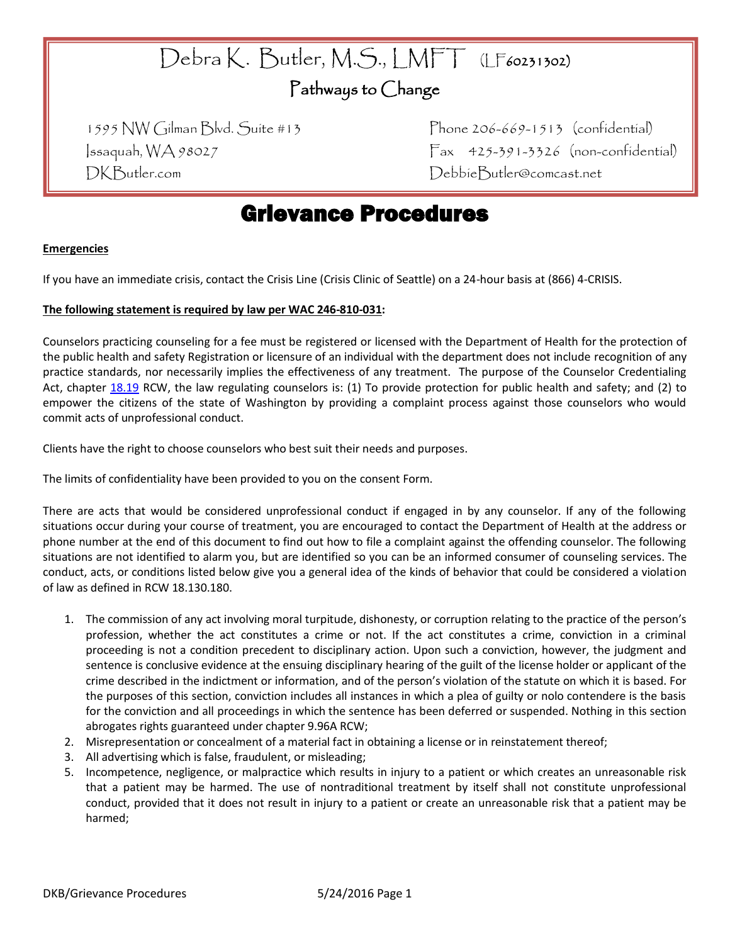# Debra K. Butler, M.S., LMFT (LF60231302)

### Pathways to Change

DKButler.com DebbieButler@comcast.net

1595 NW Gilman Blvd. Suite #13 Phone 206-669-1513 (confidential)  $|$ ssaquah, WA 98027 Fax 425-391-3326 (non-confidential)

## Grievance Procedures

### **Emergencies**

If you have an immediate crisis, contact the Crisis Line (Crisis Clinic of Seattle) on a 24-hour basis at (866) 4-CRISIS.

### **The following statement is required by law per WAC 246-810-031:**

Counselors practicing counseling for a fee must be registered or licensed with the Department of Health for the protection of the public health and safety Registration or licensure of an individual with the department does not include recognition of any practice standards, nor necessarily implies the effectiveness of any treatment. The purpose of the Counselor Credentialing Act, chapter [18.19](http://apps.leg.wa.gov/RCW/default.aspx?cite=18.19) RCW, the law regulating counselors is: (1) To provide protection for public health and safety; and (2) to empower the citizens of the state of Washington by providing a complaint process against those counselors who would commit acts of unprofessional conduct.

Clients have the right to choose counselors who best suit their needs and purposes.

The limits of confidentiality have been provided to you on the consent Form.

There are acts that would be considered unprofessional conduct if engaged in by any counselor. If any of the following situations occur during your course of treatment, you are encouraged to contact the Department of Health at the address or phone number at the end of this document to find out how to file a complaint against the offending counselor. The following situations are not identified to alarm you, but are identified so you can be an informed consumer of counseling services. The conduct, acts, or conditions listed below give you a general idea of the kinds of behavior that could be considered a violation of law as defined in RCW 18.130.180.

- 1. The commission of any act involving moral turpitude, dishonesty, or corruption relating to the practice of the person's profession, whether the act constitutes a crime or not. If the act constitutes a crime, conviction in a criminal proceeding is not a condition precedent to disciplinary action. Upon such a conviction, however, the judgment and sentence is conclusive evidence at the ensuing disciplinary hearing of the guilt of the license holder or applicant of the crime described in the indictment or information, and of the person's violation of the statute on which it is based. For the purposes of this section, conviction includes all instances in which a plea of guilty or nolo contendere is the basis for the conviction and all proceedings in which the sentence has been deferred or suspended. Nothing in this section abrogates rights guaranteed under chapter 9.96A RCW;
- 2. Misrepresentation or concealment of a material fact in obtaining a license or in reinstatement thereof;
- 3. All advertising which is false, fraudulent, or misleading;
- 5. Incompetence, negligence, or malpractice which results in injury to a patient or which creates an unreasonable risk that a patient may be harmed. The use of nontraditional treatment by itself shall not constitute unprofessional conduct, provided that it does not result in injury to a patient or create an unreasonable risk that a patient may be harmed;